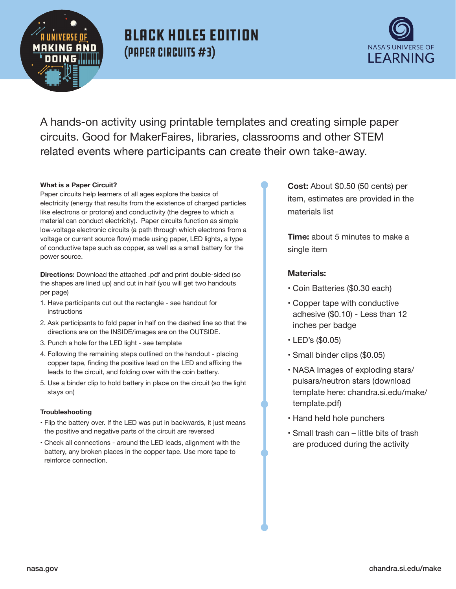

## **MAKIN6 AND** NASA'S UNIVERSE OF (Paper Circuits #3) Black Holes Edition



A hands-on activity using printable templates and creating simple paper circuits. Good for MakerFaires, libraries, classrooms and other STEM related events where participants can create their own take-away.

#### **What is a Paper Circuit?**

Paper circuits help learners of all ages explore the basics of electricity (energy that results from the existence of charged particles like electrons or protons) and conductivity (the degree to which a material can conduct electricity). Paper circuits function as simple low-voltage electronic circuits (a path through which electrons from a voltage or current source flow) made using paper, LED lights, a type of conductive tape such as copper, as well as a small battery for the power source.

**Directions:** Download the attached .pdf and print double-sided (so the shapes are lined up) and cut in half (you will get two handouts per page)

- 1. Have participants cut out the rectangle see handout for instructions
- 2. Ask participants to fold paper in half on the dashed line so that the directions are on the INSIDE/images are on the OUTSIDE.
- 3. Punch a hole for the LED light see template
- 4. Following the remaining steps outlined on the handout placing copper tape, finding the positive lead on the LED and affixing the leads to the circuit, and folding over with the coin battery.
- 5. Use a binder clip to hold battery in place on the circuit (so the light stays on)

#### **Troubleshooting**

- Flip the battery over. If the LED was put in backwards, it just means the positive and negative parts of the circuit are reversed
- Check all connections around the LED leads, alignment with the battery, any broken places in the copper tape. Use more tape to reinforce connection.

**Cost:** About \$0.50 (50 cents) per item, estimates are provided in the materials list

**Time:** about 5 minutes to make a single item

#### **Materials:**

- Coin Batteries (\$0.30 each)
- Copper tape with conductive adhesive (\$0.10) - Less than 12 inches per badge
- LED's (\$0.05)
- Small binder clips (\$0.05)
- NASA Images of exploding stars/ pulsars/neutron stars (download template here: [chandra.si.edu/make](https://chandra.si.edu/make)/ template.pdf)
- Hand held hole punchers
- Small trash can little bits of trash are produced during the activity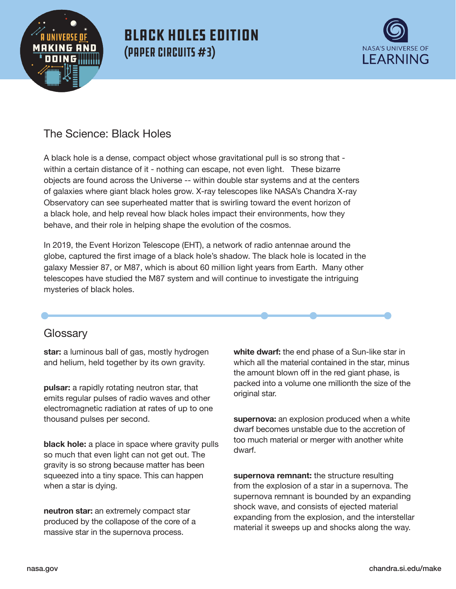

## **MAKIN6 AND** NASA'S UNIVERSE OF (Paper Circuits #3) Black Holes edition



### The Science: Black Holes

A black hole is a dense, compact object whose gravitational pull is so strong that within a certain distance of it - nothing can escape, not even light. These bizarre objects are found across the Universe -- within double star systems and at the centers of galaxies where giant black holes grow. X-ray telescopes like NASA's Chandra X-ray Observatory can see superheated matter that is swirling toward the event horizon of a black hole, and help reveal how black holes impact their environments, how they behave, and their role in helping shape the evolution of the cosmos.

In 2019, the Event Horizon Telescope (EHT), a network of radio antennae around the globe, captured the first image of a black hole's shadow. The black hole is located in the galaxy Messier 87, or M87, which is about 60 million light years from Earth. Many other telescopes have studied the M87 system and will continue to investigate the intriguing mysteries of black holes.

# • • • • **Glossary**

**star:** a luminous ball of gas, mostly hydrogen and helium, held together by its own gravity.

**pulsar:** a rapidly rotating neutron star, that emits regular pulses of radio waves and other electromagnetic radiation at rates of up to one thousand pulses per second.

**black hole:** a place in space where gravity pulls so much that even light can not get out. The gravity is so strong because matter has been squeezed into a tiny space. This can happen when a star is dying.

**neutron star:** an extremely compact star produced by the collapose of the core of a massive star in the supernova process.

**white dwarf:** the end phase of a Sun-like star in which all the material contained in the star, minus the amount blown off in the red giant phase, is packed into a volume one millionth the size of the original star.

**supernova:** an explosion produced when a white dwarf becomes unstable due to the accretion of too much material or merger with another white dwarf.

**supernova remnant:** the structure resulting from the explosion of a star in a supernova. The supernova remnant is bounded by an expanding shock wave, and consists of ejected material expanding from the explosion, and the interstellar material it sweeps up and shocks along the way.